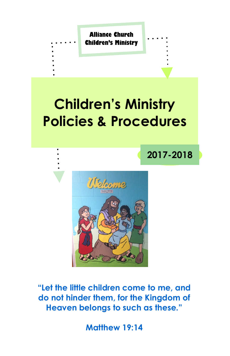**Alliance Church Children's Ministry**

# **Children's Ministry Policies & Procedures**

**2017-2018**



**"Let the little children come to me, and do not hinder them, for the Kingdom of Heaven belongs to such as these."**

**Matthew 19:14**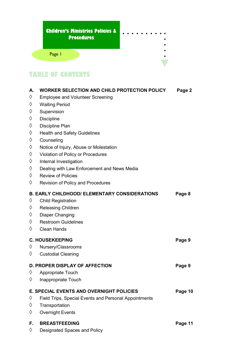

# **TABLE OF CONTENTS**

| А.                                                             | <b>WORKER SELECTION AND CHILD PROTECTION POLICY</b>   | Page 2  |
|----------------------------------------------------------------|-------------------------------------------------------|---------|
| ♦                                                              | <b>Employee and Volunteer Screening</b>               |         |
| ♦                                                              | <b>Waiting Period</b>                                 |         |
| ♦                                                              | Supervision                                           |         |
| ♦                                                              | <b>Discipline</b>                                     |         |
| ♦                                                              | Discipline Plan                                       |         |
| ♦                                                              | <b>Health and Safety Guidelines</b>                   |         |
| ♦                                                              | Counseling                                            |         |
| ♦                                                              | Notice of Injury, Abuse or Molestation                |         |
| ♦                                                              | Violation of Policy or Procedures                     |         |
| ♦                                                              | Internal Investigation                                |         |
| ♦                                                              | Dealing with Law Enforcement and News Media           |         |
| ♦                                                              | <b>Review of Policies</b>                             |         |
| ♦                                                              | Revision of Policy and Procedures                     |         |
| <b>B. EARLY CHILDHOOD/ ELEMENTARY CONSIDERATIONS</b><br>Page 8 |                                                       |         |
| ♦                                                              | Child Registration                                    |         |
| ♦                                                              | Releasing Children                                    |         |
| ♦                                                              | Diaper Changing                                       |         |
| ♦                                                              | <b>Restroom Guidelines</b>                            |         |
| ♦                                                              | Clean Hands                                           |         |
| <b>C. HOUSEKEEPING</b><br>Page 9                               |                                                       |         |
| ♦                                                              | Nursery/Classrooms                                    |         |
| ◊                                                              | <b>Custodial Cleaning</b>                             |         |
| <b>D. PROPER DISPLAY OF AFFECTION</b>                          |                                                       |         |
| ♦                                                              | Appropriate Touch                                     | Page 9  |
| ♦                                                              | Inappropriate Touch                                   |         |
|                                                                |                                                       |         |
|                                                                | <b>E. SPECIAL EVENTS AND OVERNIGHT POLICIES</b>       | Page 10 |
| ♦                                                              | Field Trips, Special Events and Personal Appointments |         |
| ♦                                                              | Transportation                                        |         |
| ♦                                                              | <b>Overnight Events</b>                               |         |
| F.                                                             | <b>BREASTFEEDING</b>                                  | Page 11 |
| ♦                                                              | Designated Spaces and Policy                          |         |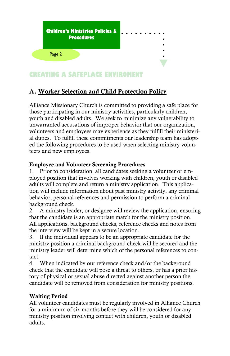

# **A. Worker Selection and Child Protection Policy**

Alliance Missionary Church is committed to providing a safe place for those participating in our ministry activities, particularly children, youth and disabled adults. We seek to minimize any vulnerability to unwarranted accusations of improper behavior that our organization, volunteers and employees may experience as they fulfill their ministerial duties. To fulfill these commitments our leadership team has adopted the following procedures to be used when selecting ministry volunteers and new employees.

#### **Employee and Volunteer Screening Procedures**

1. Prior to consideration, all candidates seeking a volunteer or employed position that involves working with children, youth or disabled adults will complete and return a ministry application. This application will include information about past ministry activity, any criminal behavior, personal references and permission to perform a criminal background check.

2. A ministry leader, or designee will review the application, ensuring that the candidate is an appropriate match for the ministry position. All applications, background checks, reference checks and notes from the interview will be kept in a secure location.

3. If the individual appears to be an appropriate candidate for the ministry position a criminal background check will be secured and the ministry leader will determine which of the personal references to contact.

4. When indicated by our reference check and/or the background check that the candidate will pose a threat to others, or has a prior history of physical or sexual abuse directed against another person the candidate will be removed from consideration for ministry positions.

#### **Waiting Period**

All volunteer candidates must be regularly involved in Alliance Church for a minimum of six months before they will be considered for any ministry position involving contact with children, youth or disabled adults.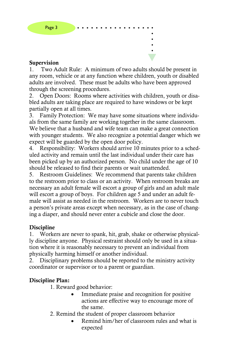

#### **Supervision**

1. Two Adult Rule: A minimum of two adults should be present in any room, vehicle or at any function where children, youth or disabled adults are involved. These must be adults who have been approved through the screening procedures.

2. Open Doors: Rooms where activities with children, youth or disabled adults are taking place are required to have windows or be kept partially open at all times.

3. Family Protection: We may have some situations where individuals from the same family are working together in the same classroom. We believe that a husband and wife team can make a great connection with younger students. We also recognize a potential danger which we expect will be guarded by the open door policy.

4. Responsibility: Workers should arrive 10 minutes prior to a scheduled activity and remain until the last individual under their care has been picked up by an authorized person. No child under the age of 10 should be released to find their parents or wait unattended.

5. Restroom Guidelines: We recommend that parents take children to the restroom prior to class or an activity. When restroom breaks are necessary an adult female will escort a group of girls and an adult male will escort a group of boys. For children age 5 and under an adult female will assist as needed in the restroom. Workers are to never touch a person's private areas except when necessary, as in the case of changing a diaper, and should never enter a cubicle and close the door.

## **Discipline**

1. Workers are never to spank, hit, grab, shake or otherwise physically discipline anyone. Physical restraint should only be used in a situation where it is reasonably necessary to prevent an individual from physically harming himself or another individual.

2. Disciplinary problems should be reported to the ministry activity coordinator or supervisor or to a parent or guardian.

## **Discipline Plan:**

- 1. Reward good behavior:
	- Immediate praise and recognition for positive actions are effective way to encourage more of the same.
- 2. Remind the student of proper classroom behavior
	- Remind him/her of classroom rules and what is expected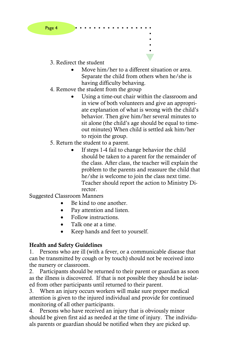- 3. Redirect the student
	- Move him/her to a different situation or area. Separate the child from others when he/she is having difficulty behaving.
- 4. Remove the student from the group
	- Using a time-out chair within the classroom and in view of both volunteers and give an appropriate explanation of what is wrong with the child's behavior. Then give him/her several minutes to sit alone (the child's age should be equal to timeout minutes) When child is settled ask him/her to rejoin the group.
- 5. Return the student to a parent.
	- If steps 1-4 fail to change behavior the child should be taken to a parent for the remainder of the class. After class, the teacher will explain the problem to the parents and reassure the child that he/she is welcome to join the class next time. Teacher should report the action to Ministry Director.

Suggested Classroom Manners

- Be kind to one another.
- Pay attention and listen.
- Follow instructions.
- Talk one at a time.
- Keep hands and feet to yourself.

#### **Health and Safety Guidelines**

1. Persons who are ill (with a fever, or a communicable disease that can be transmitted by cough or by touch) should not be received into the nursery or classroom.

2. Participants should be returned to their parent or guardian as soon as the illness is discovered. If that is not possible they should be isolated from other participants until returned to their parent.

3. When an injury occurs workers will make sure proper medical attention is given to the injured individual and provide for continued monitoring of all other participants.

4. Persons who have received an injury that is obviously minor should be given first aid as needed at the time of injury. The individuals parents or guardian should be notified when they are picked up.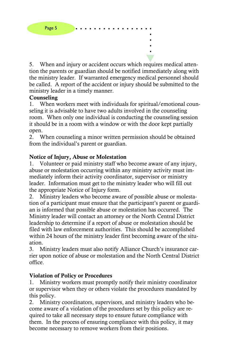

5. When and injury or accident occurs which requires medical attention the parents or guardian should be notified immediately along with the ministry leader. If warranted emergency medical personnel should be called. A report of the accident or injury should be submitted to the ministry leader in a timely manner.

## **Counseling**

1. When workers meet with individuals for spiritual/emotional counseling it is advisable to have two adults involved in the counseling room. When only one individual is conducting the counseling session it should be in a room with a window or with the door kept partially open.

2. When counseling a minor written permission should be obtained from the individual's parent or guardian.

## **Notice of Injury, Abuse or Molestation**

1. Volunteer or paid ministry staff who become aware of any injury, abuse or molestation occurring within any ministry activity must immediately inform their activity coordinator, supervisor or ministry leader. Information must get to the ministry leader who will fill out the appropriate Notice of Injury form.

2. Ministry leaders who become aware of possible abuse or molestation of a participant must ensure that the participant's parent or guardian is informed that possible abuse or molestation has occurred. The Ministry leader will contact an attorney or the North Central District leadership to determine if a report of abuse or molestation should be filed with law enforcement authorities. This should be accomplished within 24 hours of the ministry leader first becoming aware of the situation.

3. Ministry leaders must also notify Alliance Church's insurance carrier upon notice of abuse or molestation and the North Central District office.

# **Violation of Policy or Procedures**

1. Ministry workers must promptly notify their ministry coordinator or supervisor when they or others violate the procedures mandated by this policy.

2. Ministry coordinators, supervisors, and ministry leaders who become aware of a violation of the procedures set by this policy are required to take all necessary steps to ensure future compliance with them. In the process of ensuring compliance with this policy, it may become necessary to remove workers from their positions.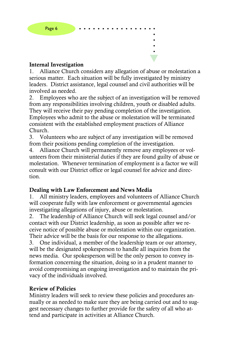

#### **Internal Investigation**

1. Alliance Church considers any allegation of abuse or molestation a serious matter. Each situation will be fully investigated by ministry leaders. District assistance, legal counsel and civil authorities will be involved as needed.

2. Employees who are the subject of an investigation will be removed from any responsibilities involving children, youth or disabled adults. They will receive their pay pending completion of the investigation. Employees who admit to the abuse or molestation will be terminated consistent with the established employment practices of Alliance Church.

3. Volunteers who are subject of any investigation will be removed from their positions pending completion of the investigation.

4. Alliance Church will permanently remove any employees or volunteers from their ministerial duties if they are found guilty of abuse or molestation. Whenever termination of employment is a factor we will consult with our District office or legal counsel for advice and direction.

#### **Dealing with Law Enforcement and News Media**

1. All ministry leaders, employees and volunteers of Alliance Church will cooperate fully with law enforcement or governmental agencies investigating allegations of injury, abuse or molestation.

2. The leadership of Alliance Church will seek legal counsel and/or contact with our District leadership, as soon as possible after we receive notice of possible abuse or molestation within our organization. Their advice will be the basis for our response to the allegations.

3. One individual, a member of the leadership team or our attorney, will be the designated spokesperson to handle all inquiries from the news media. Our spokesperson will be the only person to convey information concerning the situation, doing so in a prudent manner to avoid compromising an ongoing investigation and to maintain the privacy of the individuals involved.

#### **Review of Policies**

Ministry leaders will seek to review these policies and procedures annually or as needed to make sure they are being carried out and to suggest necessary changes to further provide for the safety of all who attend and participate in activities at Alliance Church.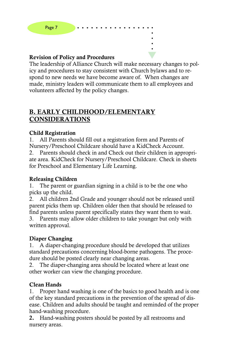

### **Revision of Policy and Procedures**

The leadership of Alliance Church will make necessary changes to policy and procedures to stay consistent with Church bylaws and to respond to new needs we have become aware of. When changes are made, ministry leaders will communicate them to all employees and volunteers affected by the policy changes.

# **B. EARLY CHILDHOOD/ELEMENTARY CONSIDERATIONS**

#### **Child Registration**

1. All Parents should fill out a registration form and Parents of Nursery/Preschool Childcare should have a KidCheck Account. 2. Parents should check in and Check out their children in appropriate area. KidCheck for Nursery/Preschool Childcare. Check in sheets for Preschool and Elementary Life Learning.

#### **Releasing Children**

1. The parent or guardian signing in a child is to be the one who picks up the child.

2. All children 2nd Grade and younger should not be released until parent picks them up. Children older then that should be released to find parents unless parent specifically states they want them to wait.

3. Parents may allow older children to take younger but only with written approval.

#### **Diaper Changing**

1. A diaper-changing procedure should be developed that utilizes standard precautions concerning blood-borne pathogens. The procedure should be posted clearly near changing areas.

2. The diaper-changing area should be located where at least one other worker can view the changing procedure.

#### **Clean Hands**

1. Proper hand washing is one of the basics to good health and is one of the key standard precautions in the prevention of the spread of disease. Children and adults should be taught and reminded of the proper hand-washing procedure.

**2.** Hand-washing posters should be posted by all restrooms and nursery areas.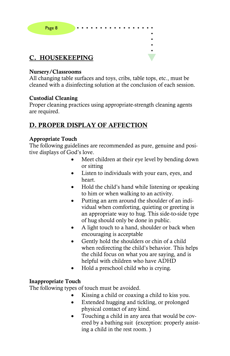# **C. HOUSEKEEPING**

#### **Nursery/Classrooms**

All changing table surfaces and toys, cribs, table tops, etc., must be cleaned with a disinfecting solution at the conclusion of each session.

#### **Custodial Cleaning**

Proper cleaning practices using appropriate-strength cleaning agents are required.

# **D. PROPER DISPLAY OF AFFECTION**

#### **Appropriate Touch**

The following guidelines are recommended as pure, genuine and positive displays of God's love.

- Meet children at their eye level by bending down or sitting
- Listen to individuals with your ears, eyes, and heart.
- Hold the child's hand while listening or speaking to him or when walking to an activity.
- Putting an arm around the shoulder of an individual when comforting, quieting or greeting is an appropriate way to hug. This side-to-side type of hug should only be done in public.
- A light touch to a hand, shoulder or back when encouraging is acceptable
- Gently hold the shoulders or chin of a child when redirecting the child's behavior. This helps the child focus on what you are saying, and is helpful with children who have ADHD
- Hold a preschool child who is crying.

#### **Inappropriate Touch**

The following types of touch must be avoided.

- Kissing a child or coaxing a child to kiss you.
- Extended hugging and tickling, or prolonged physical contact of any kind.
- Touching a child in any area that would be covered by a bathing suit (exception: properly assisting a child in the rest room. )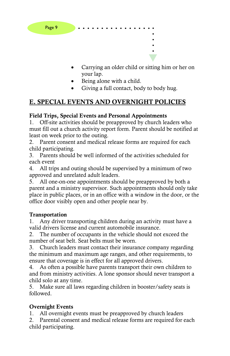

- Carrying an older child or sitting him or her on your lap.
- Being alone with a child.
- Giving a full contact, body to body hug.

# **E. SPECIAL EVENTS AND OVERNIGHT POLICIES**

#### **Field Trips, Special Events and Personal Appointments**

1. Off-site activities should be preapproved by church leaders who must fill out a church activity report form. Parent should be notified at least on week prior to the outing.

2. Parent consent and medical release forms are required for each child participating.

3. Parents should be well informed of the activities scheduled for each event

4. All trips and outing should be supervised by a minimum of two approved and unrelated adult leaders.

5. All one-on-one appointments should be preapproved by both a parent and a ministry supervisor. Such appointments should only take place in public places, or in an office with a window in the door, or the office door visibly open and other people near by.

#### **Transportation**

1. Any driver transporting children during an activity must have a valid drivers license and current automobile insurance.

2. The number of occupants in the vehicle should not exceed the number of seat belt. Seat belts must be worn.

3. Church leaders must contact their insurance company regarding the minimum and maximum age ranges, and other requirements, to ensure that coverage is in effect for all approved drivers.

4. As often a possible have parents transport their own children to and from ministry activities. A lone sponsor should never transport a child solo at any time.

5. Make sure all laws regarding children in booster/safety seats is followed.

## **Overnight Events**

1. All overnight events must be preapproved by church leaders

2. Parental consent and medical release forms are required for each child participating.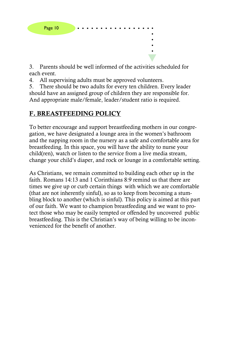

3. Parents should be well informed of the activities scheduled for each event.

4. All supervising adults must be approved volunteers.

5. There should be two adults for every ten children. Every leader should have an assigned group of children they are responsible for. And appropriate male/female, leader/student ratio is required.

# **F. BREASTFEEDING POLICY**

To better encourage and support breastfeeding mothers in our congregation, we have designated a lounge area in the women's bathroom and the napping room in the nursery as a safe and comfortable area for breastfeeding. In this space, you will have the ability to nurse your child(ren), watch or listen to the service from a live media stream, change your child's diaper, and rock or lounge in a comfortable setting.

As Christians, we remain committed to building each other up in the faith. Romans 14:13 and 1 Corinthians 8:9 remind us that there are times we give up or curb certain things with which we are comfortable (that are not inherently sinful), so as to keep from becoming a stumbling block to another (which is sinful). This policy is aimed at this part of our faith. We want to champion breastfeeding and we want to protect those who may be easily tempted or offended by uncovered public breastfeeding. This is the Christian's way of being willing to be inconvenienced for the benefit of another.